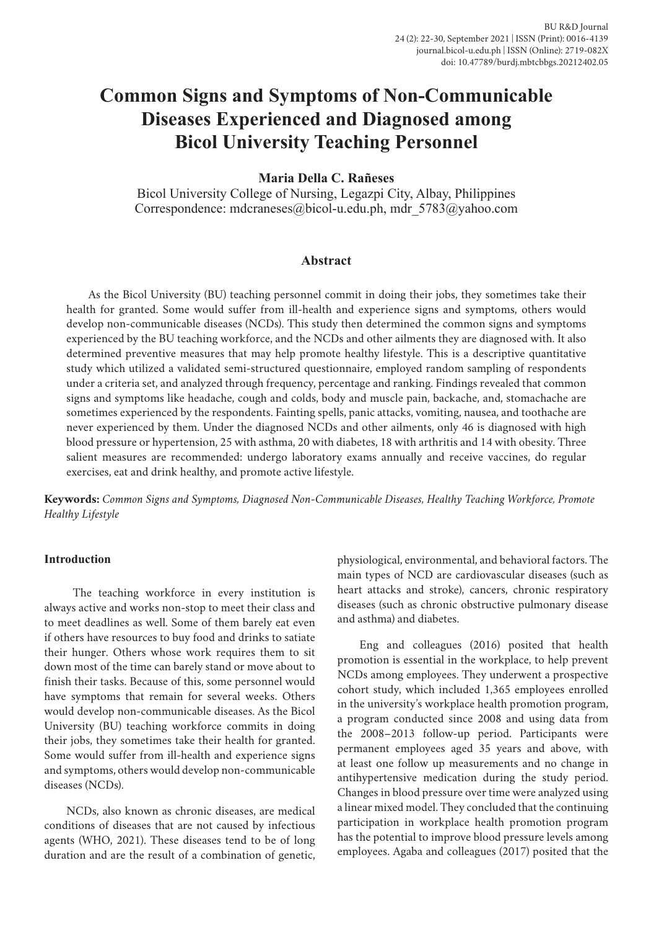# **Common Signs and Symptoms of Non-Communicable Diseases Experienced and Diagnosed among Bicol University Teaching Personnel**

**Maria Della C. Rañeses**

Bicol University College of Nursing, Legazpi City, Albay, Philippines Correspondence: mdcraneses@bicol-u.edu.ph, mdr\_5783@yahoo.com

#### **Abstract**

As the Bicol University (BU) teaching personnel commit in doing their jobs, they sometimes take their health for granted. Some would suffer from ill-health and experience signs and symptoms, others would develop non-communicable diseases (NCDs). This study then determined the common signs and symptoms experienced by the BU teaching workforce, and the NCDs and other ailments they are diagnosed with. It also determined preventive measures that may help promote healthy lifestyle. This is a descriptive quantitative study which utilized a validated semi-structured questionnaire, employed random sampling of respondents under a criteria set, and analyzed through frequency, percentage and ranking. Findings revealed that common signs and symptoms like headache, cough and colds, body and muscle pain, backache, and, stomachache are sometimes experienced by the respondents. Fainting spells, panic attacks, vomiting, nausea, and toothache are never experienced by them. Under the diagnosed NCDs and other ailments, only 46 is diagnosed with high blood pressure or hypertension, 25 with asthma, 20 with diabetes, 18 with arthritis and 14 with obesity. Three salient measures are recommended: undergo laboratory exams annually and receive vaccines, do regular exercises, eat and drink healthy, and promote active lifestyle.

**Keywords:** *Common Signs and Symptoms, Diagnosed Non-Communicable Diseases, Healthy Teaching Workforce, Promote Healthy Lifestyle*

#### **Introduction**

 The teaching workforce in every institution is always active and works non-stop to meet their class and to meet deadlines as well. Some of them barely eat even if others have resources to buy food and drinks to satiate their hunger. Others whose work requires them to sit down most of the time can barely stand or move about to finish their tasks. Because of this, some personnel would have symptoms that remain for several weeks. Others would develop non-communicable diseases. As the Bicol University (BU) teaching workforce commits in doing their jobs, they sometimes take their health for granted. Some would suffer from ill-health and experience signs and symptoms, others would develop non-communicable diseases (NCDs).

NCDs, also known as chronic diseases, are medical conditions of diseases that are not caused by infectious agents (WHO, 2021). These diseases tend to be of long duration and are the result of a combination of genetic,

physiological, environmental, and behavioral factors. The main types of NCD are cardiovascular diseases (such as heart attacks and stroke), cancers, chronic respiratory diseases (such as chronic obstructive pulmonary disease and asthma) and diabetes.

Eng and colleagues (2016) posited that health promotion is essential in the workplace, to help prevent NCDs among employees. They underwent a prospective cohort study, which included 1,365 employees enrolled in the university's workplace health promotion program, a program conducted since 2008 and using data from the 2008–2013 follow-up period. Participants were permanent employees aged 35 years and above, with at least one follow up measurements and no change in antihypertensive medication during the study period. Changes in blood pressure over time were analyzed using a linear mixed model. They concluded that the continuing participation in workplace health promotion program has the potential to improve blood pressure levels among employees. Agaba and colleagues (2017) posited that the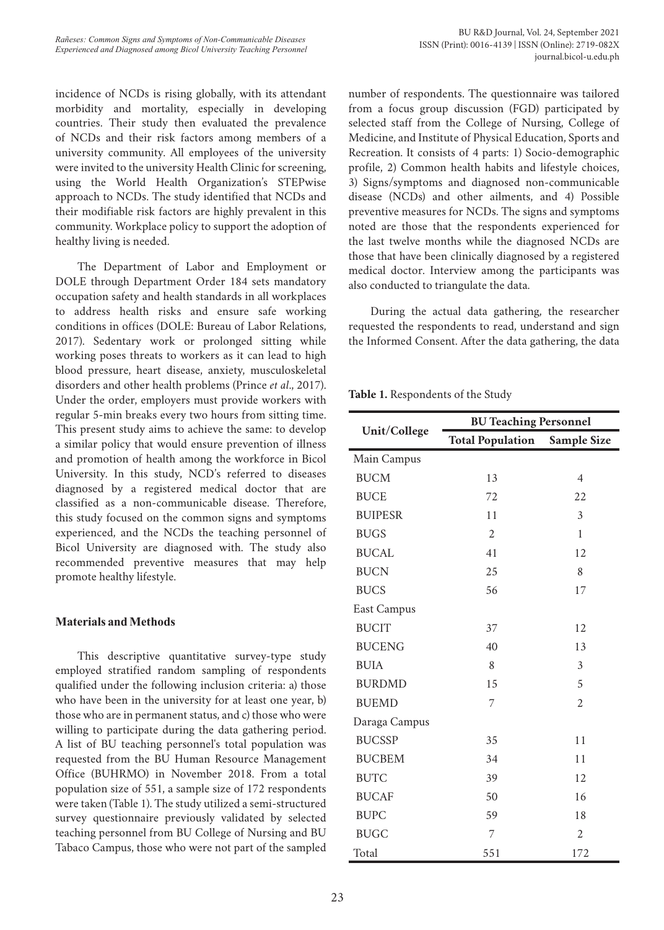BU R&D Journal, Vol. 24, September 2021 ISSN (Print): 0016-4139 | ISSN (Online): 2719-082X journal.bicol-u.edu.ph

incidence of NCDs is rising globally, with its attendant morbidity and mortality, especially in developing countries. Their study then evaluated the prevalence of NCDs and their risk factors among members of a university community. All employees of the university were invited to the university Health Clinic for screening, using the World Health Organization's STEPwise approach to NCDs. The study identified that NCDs and their modifiable risk factors are highly prevalent in this community. Workplace policy to support the adoption of healthy living is needed.

The Department of Labor and Employment or DOLE through Department Order 184 sets mandatory occupation safety and health standards in all workplaces to address health risks and ensure safe working conditions in offices (DOLE: Bureau of Labor Relations, 2017). Sedentary work or prolonged sitting while working poses threats to workers as it can lead to high blood pressure, heart disease, anxiety, musculoskeletal disorders and other health problems (Prince *et al*., 2017). Under the order, employers must provide workers with regular 5-min breaks every two hours from sitting time. This present study aims to achieve the same: to develop a similar policy that would ensure prevention of illness and promotion of health among the workforce in Bicol University. In this study, NCD's referred to diseases diagnosed by a registered medical doctor that are classified as a non-communicable disease. Therefore, this study focused on the common signs and symptoms experienced, and the NCDs the teaching personnel of Bicol University are diagnosed with. The study also recommended preventive measures that may help promote healthy lifestyle.

## **Materials and Methods**

This descriptive quantitative survey-type study employed stratified random sampling of respondents qualified under the following inclusion criteria: a) those who have been in the university for at least one year, b) those who are in permanent status, and c) those who were willing to participate during the data gathering period. A list of BU teaching personnel's total population was requested from the BU Human Resource Management Office (BUHRMO) in November 2018. From a total population size of 551, a sample size of 172 respondents were taken (Table 1). The study utilized a semi-structured survey questionnaire previously validated by selected teaching personnel from BU College of Nursing and BU Tabaco Campus, those who were not part of the sampled

number of respondents. The questionnaire was tailored from a focus group discussion (FGD) participated by selected staff from the College of Nursing, College of Medicine, and Institute of Physical Education, Sports and Recreation. It consists of 4 parts: 1) Socio-demographic profile, 2) Common health habits and lifestyle choices, 3) Signs/symptoms and diagnosed non-communicable disease (NCDs) and other ailments, and 4) Possible preventive measures for NCDs. The signs and symptoms noted are those that the respondents experienced for the last twelve months while the diagnosed NCDs are those that have been clinically diagnosed by a registered medical doctor. Interview among the participants was also conducted to triangulate the data.

During the actual data gathering, the researcher requested the respondents to read, understand and sign the Informed Consent. After the data gathering, the data

**Table 1.** Respondents of the Study

|                | <b>BU Teaching Personnel</b> |                    |  |
|----------------|------------------------------|--------------------|--|
| Unit/College   | <b>Total Population</b>      | <b>Sample Size</b> |  |
| Main Campus    |                              |                    |  |
| <b>BUCM</b>    | 13                           | $\overline{4}$     |  |
| <b>BUCE</b>    | 72                           | 22                 |  |
| <b>BUIPESR</b> | 11                           | 3                  |  |
| <b>BUGS</b>    | $\overline{c}$               | 1                  |  |
| <b>BUCAL</b>   | 41                           | 12                 |  |
| <b>BUCN</b>    | 25                           | 8                  |  |
| <b>BUCS</b>    | 56                           | 17                 |  |
| East Campus    |                              |                    |  |
| <b>BUCIT</b>   | 37                           | 12                 |  |
| <b>BUCENG</b>  | 40                           | 13                 |  |
| <b>BUIA</b>    | 8                            | 3                  |  |
| <b>BURDMD</b>  | 15                           | 5                  |  |
| <b>BUEMD</b>   | 7                            | $\overline{c}$     |  |
| Daraga Campus  |                              |                    |  |
| <b>BUCSSP</b>  | 35                           | 11                 |  |
| <b>BUCBEM</b>  | 34                           | 11                 |  |
| <b>BUTC</b>    | 39                           | 12                 |  |
| <b>BUCAF</b>   | 50                           | 16                 |  |
| <b>BUPC</b>    | 59                           | 18                 |  |
| <b>BUGC</b>    | 7                            | $\overline{2}$     |  |
| Total          | 551                          | 172                |  |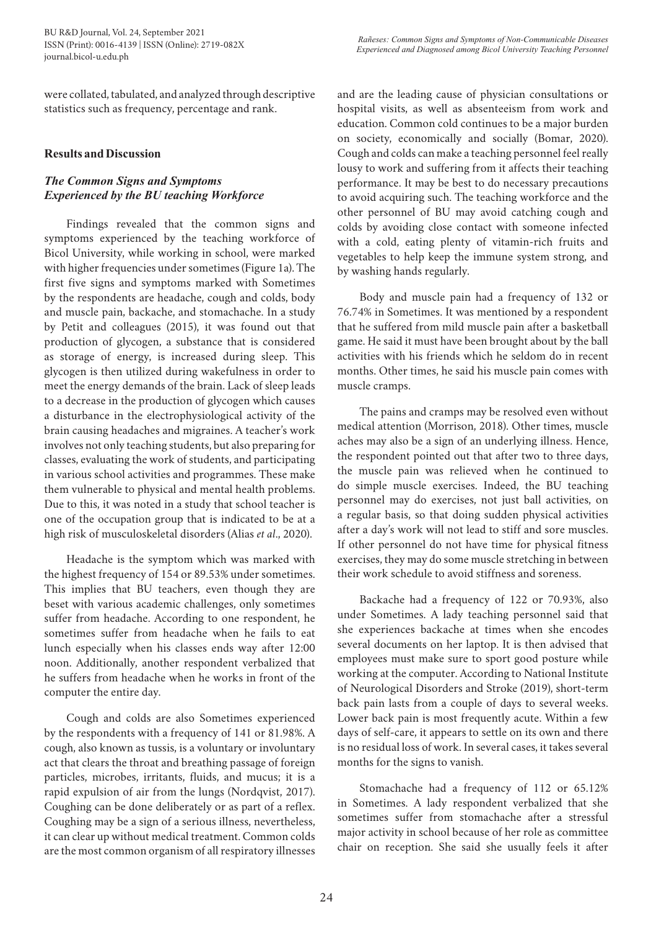were collated, tabulated, and analyzed through descriptive statistics such as frequency, percentage and rank.

## **Results and Discussion**

# *The Common Signs and Symptoms Experienced by the BU teaching Workforce*

Findings revealed that the common signs and symptoms experienced by the teaching workforce of Bicol University, while working in school, were marked with higher frequencies under sometimes (Figure 1a). The first five signs and symptoms marked with Sometimes by the respondents are headache, cough and colds, body and muscle pain, backache, and stomachache. In a study by Petit and colleagues (2015), it was found out that production of glycogen, a substance that is considered as storage of energy, is increased during sleep. This glycogen is then utilized during wakefulness in order to meet the energy demands of the brain. Lack of sleep leads to a decrease in the production of glycogen which causes a disturbance in the electrophysiological activity of the brain causing headaches and migraines. A teacher's work involves not only teaching students, but also preparing for classes, evaluating the work of students, and participating in various school activities and programmes. These make them vulnerable to physical and mental health problems. Due to this, it was noted in a study that school teacher is one of the occupation group that is indicated to be at a high risk of musculoskeletal disorders (Alias *et al*., 2020).

Headache is the symptom which was marked with the highest frequency of 154 or 89.53% under sometimes. This implies that BU teachers, even though they are beset with various academic challenges, only sometimes suffer from headache. According to one respondent, he sometimes suffer from headache when he fails to eat lunch especially when his classes ends way after 12:00 noon. Additionally, another respondent verbalized that he suffers from headache when he works in front of the computer the entire day.

Cough and colds are also Sometimes experienced by the respondents with a frequency of 141 or 81.98%. A cough, also known as tussis, is a voluntary or involuntary act that clears the throat and breathing passage of foreign particles, microbes, irritants, fluids, and mucus; it is a rapid expulsion of air from the lungs (Nordqvist, 2017). Coughing can be done deliberately or as part of a reflex. Coughing may be a sign of a serious illness, nevertheless, it can clear up without medical treatment. Common colds are the most common organism of all respiratory illnesses

and are the leading cause of physician consultations or hospital visits, as well as absenteeism from work and education. Common cold continues to be a major burden on society, economically and socially (Bomar, 2020). Cough and colds can make a teaching personnel feel really lousy to work and suffering from it affects their teaching performance. It may be best to do necessary precautions to avoid acquiring such. The teaching workforce and the other personnel of BU may avoid catching cough and colds by avoiding close contact with someone infected with a cold, eating plenty of vitamin-rich fruits and vegetables to help keep the immune system strong, and by washing hands regularly.

Body and muscle pain had a frequency of 132 or 76.74% in Sometimes. It was mentioned by a respondent that he suffered from mild muscle pain after a basketball game. He said it must have been brought about by the ball activities with his friends which he seldom do in recent months. Other times, he said his muscle pain comes with muscle cramps.

The pains and cramps may be resolved even without medical attention (Morrison, 2018). Other times, muscle aches may also be a sign of an underlying illness. Hence, the respondent pointed out that after two to three days, the muscle pain was relieved when he continued to do simple muscle exercises. Indeed, the BU teaching personnel may do exercises, not just ball activities, on a regular basis, so that doing sudden physical activities after a day's work will not lead to stiff and sore muscles. If other personnel do not have time for physical fitness exercises, they may do some muscle stretching in between their work schedule to avoid stiffness and soreness.

Backache had a frequency of 122 or 70.93%, also under Sometimes. A lady teaching personnel said that she experiences backache at times when she encodes several documents on her laptop. It is then advised that employees must make sure to sport good posture while working at the computer. According to National Institute of Neurological Disorders and Stroke (2019), short-term back pain lasts from a couple of days to several weeks. Lower back pain is most frequently acute. Within a few days of self-care, it appears to settle on its own and there is no residual loss of work. In several cases, it takes several months for the signs to vanish.

Stomachache had a frequency of 112 or 65.12% in Sometimes. A lady respondent verbalized that she sometimes suffer from stomachache after a stressful major activity in school because of her role as committee chair on reception. She said she usually feels it after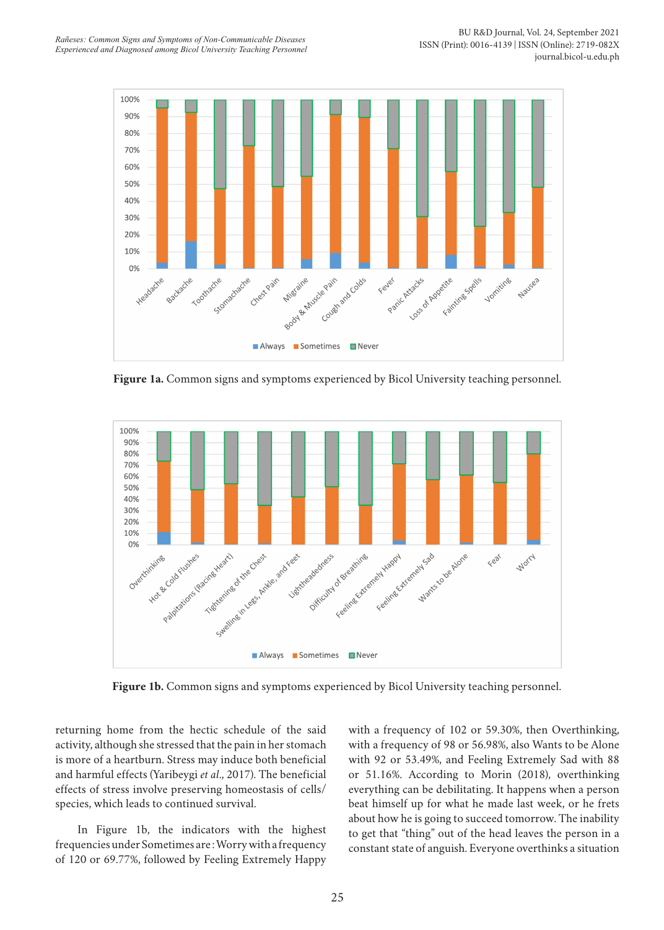

**Figure 1a.** Common signs and symptoms experienced by Bicol University teaching personnel.



**Figure 1b.** Common signs and symptoms experienced by Bicol University teaching personnel.

returning home from the hectic schedule of the said activity, although she stressed that the pain in her stomach is more of a heartburn. Stress may induce both beneficial and harmful effects (Yaribeygi *et al*., 2017). The beneficial effects of stress involve preserving homeostasis of cells/ species, which leads to continued survival.

In Figure 1b, the indicators with the highest frequencies under Sometimes are : Worry with a frequency of 120 or 69.77%, followed by Feeling Extremely Happy with a frequency of 102 or 59.30%, then Overthinking, with a frequency of 98 or 56.98%, also Wants to be Alone with 92 or 53.49%, and Feeling Extremely Sad with 88 or 51.16%. According to Morin (2018), overthinking everything can be debilitating. It happens when a person beat himself up for what he made last week, or he frets about how he is going to succeed tomorrow. The inability to get that "thing" out of the head leaves the person in a constant state of anguish. Everyone overthinks a situation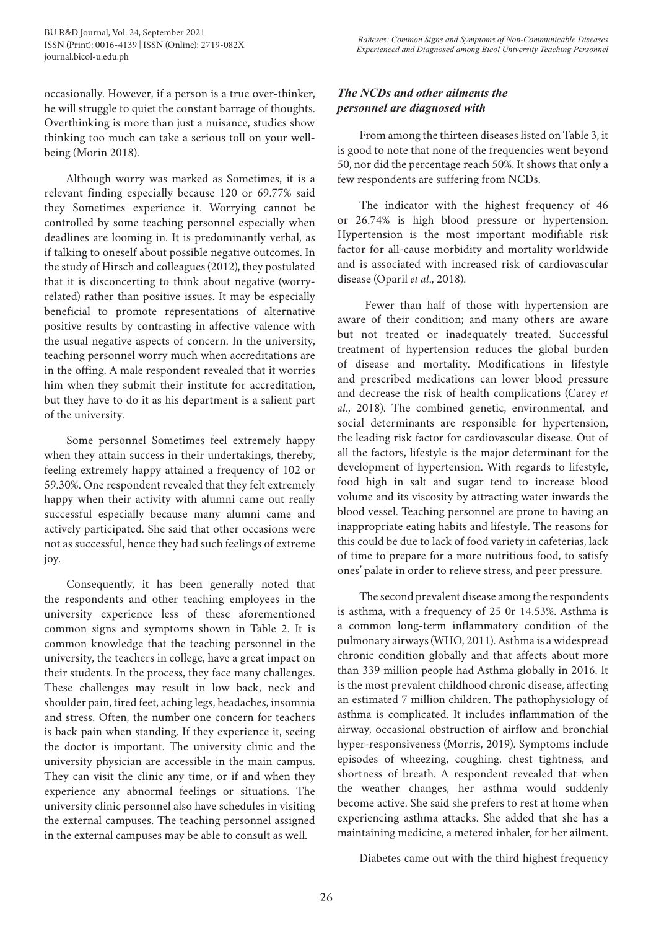occasionally. However, if a person is a true over-thinker, he will struggle to quiet the constant barrage of thoughts. Overthinking is more than just a nuisance, studies show thinking too much can take a serious toll on your wellbeing (Morin 2018).

Although worry was marked as Sometimes, it is a relevant finding especially because 120 or 69.77% said they Sometimes experience it. Worrying cannot be controlled by some teaching personnel especially when deadlines are looming in. It is predominantly verbal, as if talking to oneself about possible negative outcomes. In the study of Hirsch and colleagues (2012), they postulated that it is disconcerting to think about negative (worryrelated) rather than positive issues. It may be especially beneficial to promote representations of alternative positive results by contrasting in affective valence with the usual negative aspects of concern. In the university, teaching personnel worry much when accreditations are in the offing. A male respondent revealed that it worries him when they submit their institute for accreditation, but they have to do it as his department is a salient part of the university.

Some personnel Sometimes feel extremely happy when they attain success in their undertakings, thereby, feeling extremely happy attained a frequency of 102 or 59.30%. One respondent revealed that they felt extremely happy when their activity with alumni came out really successful especially because many alumni came and actively participated. She said that other occasions were not as successful, hence they had such feelings of extreme joy.

Consequently, it has been generally noted that the respondents and other teaching employees in the university experience less of these aforementioned common signs and symptoms shown in Table 2. It is common knowledge that the teaching personnel in the university, the teachers in college, have a great impact on their students. In the process, they face many challenges. These challenges may result in low back, neck and shoulder pain, tired feet, aching legs, headaches, insomnia and stress. Often, the number one concern for teachers is back pain when standing. If they experience it, seeing the doctor is important. The university clinic and the university physician are accessible in the main campus. They can visit the clinic any time, or if and when they experience any abnormal feelings or situations. The university clinic personnel also have schedules in visiting the external campuses. The teaching personnel assigned in the external campuses may be able to consult as well.

# *The NCDs and other ailments the personnel are diagnosed with*

From among the thirteen diseases listed on Table 3, it is good to note that none of the frequencies went beyond 50, nor did the percentage reach 50%. It shows that only a few respondents are suffering from NCDs.

The indicator with the highest frequency of 46 or 26.74% is high blood pressure or hypertension. Hypertension is the most important modifiable risk factor for all-cause morbidity and mortality worldwide and is associated with increased risk of cardiovascular disease (Oparil *et al*., 2018).

 Fewer than half of those with hypertension are aware of their condition; and many others are aware but not treated or inadequately treated. Successful treatment of hypertension reduces the global burden of disease and mortality. Modifications in lifestyle and prescribed medications can lower blood pressure and decrease the risk of health complications (Carey *et al*., 2018). The combined genetic, environmental, and social determinants are responsible for hypertension, the leading risk factor for cardiovascular disease. Out of all the factors, lifestyle is the major determinant for the development of hypertension. With regards to lifestyle, food high in salt and sugar tend to increase blood volume and its viscosity by attracting water inwards the blood vessel. Teaching personnel are prone to having an inappropriate eating habits and lifestyle. The reasons for this could be due to lack of food variety in cafeterias, lack of time to prepare for a more nutritious food, to satisfy ones' palate in order to relieve stress, and peer pressure.

The second prevalent disease among the respondents is asthma, with a frequency of 25 0r 14.53%. Asthma is a common long-term inflammatory condition of the pulmonary airways (WHO, 2011). Asthma is a widespread chronic condition globally and that affects about more than 339 million people had Asthma globally in 2016. It is the most prevalent childhood chronic disease, affecting an estimated 7 million children. The pathophysiology of asthma is complicated. It includes inflammation of the airway, occasional obstruction of airflow and bronchial hyper-responsiveness (Morris, 2019). Symptoms include episodes of wheezing, coughing, chest tightness, and shortness of breath. A respondent revealed that when the weather changes, her asthma would suddenly become active. She said she prefers to rest at home when experiencing asthma attacks. She added that she has a maintaining medicine, a metered inhaler, for her ailment.

Diabetes came out with the third highest frequency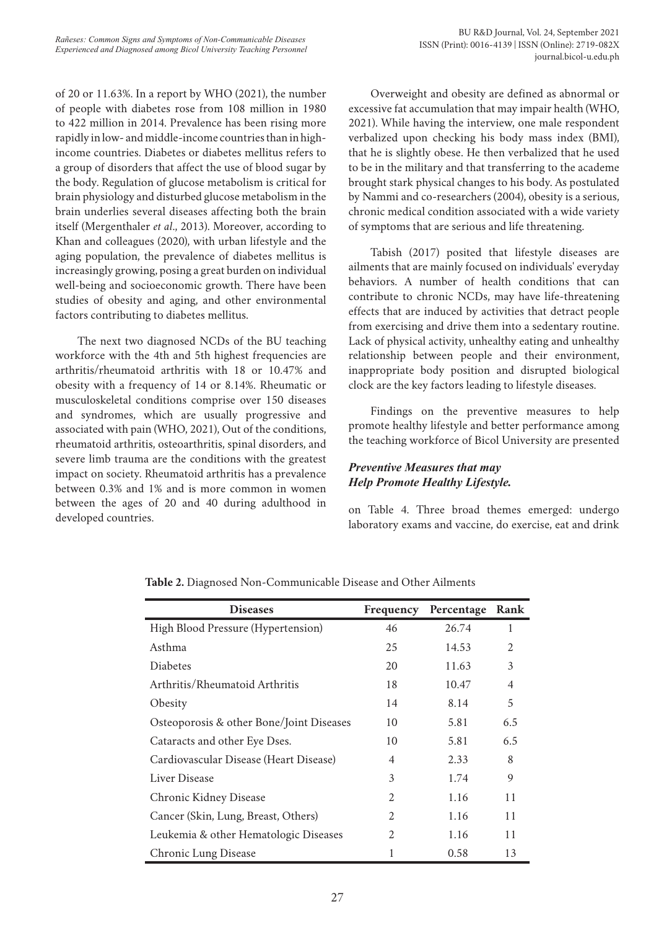of 20 or 11.63%. In a report by WHO (2021), the number of people with diabetes rose from 108 million in 1980 to 422 million in 2014. Prevalence has been rising more rapidly in low- and middle-income countries than in highincome countries. Diabetes or diabetes mellitus refers to a group of disorders that affect the use of blood sugar by the body. Regulation of glucose metabolism is critical for brain physiology and disturbed glucose metabolism in the brain underlies several diseases affecting both the brain itself (Mergenthaler *et al*., 2013). Moreover, according to Khan and colleagues (2020), with urban lifestyle and the aging population, the prevalence of diabetes mellitus is increasingly growing, posing a great burden on individual well-being and socioeconomic growth. There have been studies of obesity and aging, and other environmental factors contributing to diabetes mellitus.

The next two diagnosed NCDs of the BU teaching workforce with the 4th and 5th highest frequencies are arthritis/rheumatoid arthritis with 18 or 10.47% and obesity with a frequency of 14 or 8.14%. Rheumatic or musculoskeletal conditions comprise over 150 diseases and syndromes, which are usually progressive and associated with pain (WHO, 2021), Out of the conditions, rheumatoid arthritis, osteoarthritis, spinal disorders, and severe limb trauma are the conditions with the greatest impact on society. Rheumatoid arthritis has a prevalence between 0.3% and 1% and is more common in women between the ages of 20 and 40 during adulthood in developed countries.

Overweight and obesity are defined as abnormal or excessive fat accumulation that may impair health (WHO, 2021). While having the interview, one male respondent verbalized upon checking his body mass index (BMI), that he is slightly obese. He then verbalized that he used to be in the military and that transferring to the academe brought stark physical changes to his body. As postulated by Nammi and co-researchers (2004), obesity is a serious, chronic medical condition associated with a wide variety of symptoms that are serious and life threatening.

Tabish (2017) posited that lifestyle diseases are ailments that are mainly focused on individuals' everyday behaviors. A number of health conditions that can contribute to chronic NCDs, may have life-threatening effects that are induced by activities that detract people from exercising and drive them into a sedentary routine. Lack of physical activity, unhealthy eating and unhealthy relationship between people and their environment, inappropriate body position and disrupted biological clock are the key factors leading to lifestyle diseases.

Findings on the preventive measures to help promote healthy lifestyle and better performance among the teaching workforce of Bicol University are presented

# *Preventive Measures that may Help Promote Healthy Lifestyle.*

on Table 4. Three broad themes emerged: undergo laboratory exams and vaccine, do exercise, eat and drink

| <b>Diseases</b>                          | Frequency      | Percentage | <b>Rank</b>    |
|------------------------------------------|----------------|------------|----------------|
| High Blood Pressure (Hypertension)       | 46             | 26.74      | 1              |
| Asthma                                   | 25             | 14.53      | 2              |
| <b>Diabetes</b>                          | 20             | 11.63      | 3              |
| Arthritis/Rheumatoid Arthritis           | 18             | 10.47      | $\overline{4}$ |
| Obesity                                  | 14             | 8.14       | 5              |
| Osteoporosis & other Bone/Joint Diseases | 10             | 5.81       | 6.5            |
| Cataracts and other Eye Dses.            | 10             | 5.81       | 6.5            |
| Cardiovascular Disease (Heart Disease)   | 4              | 2.33       | 8              |
| Liver Disease                            | 3              | 1.74       | 9              |
| Chronic Kidney Disease                   | $\mathfrak{D}$ | 1.16       | 11             |
| Cancer (Skin, Lung, Breast, Others)      | $\overline{c}$ | 1.16       | 11             |
| Leukemia & other Hematologic Diseases    | 2              | 1.16       | 11             |
| Chronic Lung Disease                     | 1              | 0.58       | 13             |

**Table 2.** Diagnosed Non-Communicable Disease and Other Ailments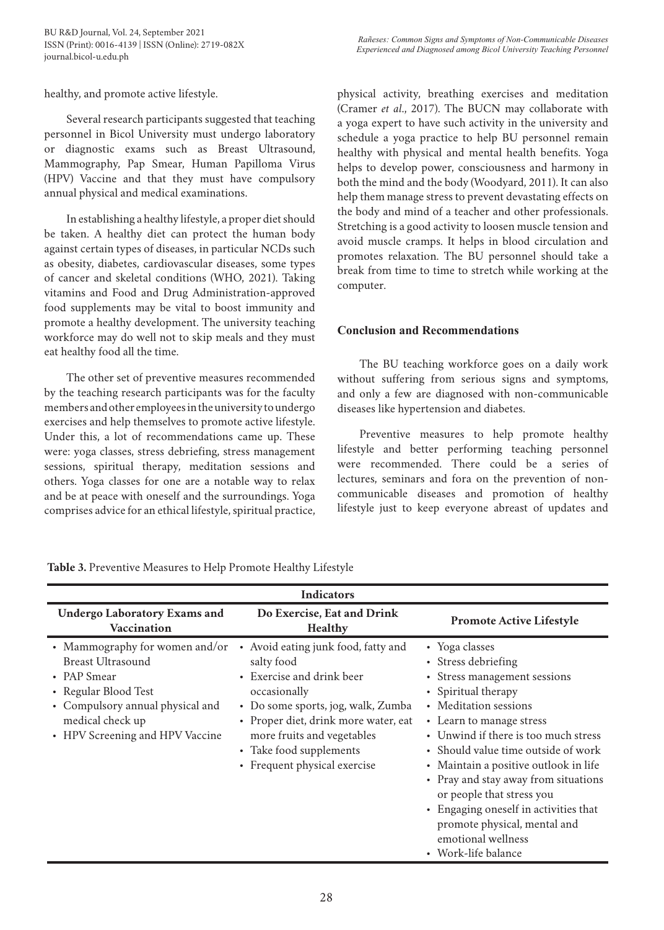healthy, and promote active lifestyle.

Several research participants suggested that teaching personnel in Bicol University must undergo laboratory or diagnostic exams such as Breast Ultrasound, Mammography, Pap Smear, Human Papilloma Virus (HPV) Vaccine and that they must have compulsory annual physical and medical examinations.

In establishing a healthy lifestyle, a proper diet should be taken. A healthy diet can protect the human body against certain types of diseases, in particular NCDs such as obesity, diabetes, cardiovascular diseases, some types of cancer and skeletal conditions (WHO, 2021). Taking vitamins and Food and Drug Administration-approved food supplements may be vital to boost immunity and promote a healthy development. The university teaching workforce may do well not to skip meals and they must eat healthy food all the time.

The other set of preventive measures recommended by the teaching research participants was for the faculty members and other employees in the university to undergo exercises and help themselves to promote active lifestyle. Under this, a lot of recommendations came up. These were: yoga classes, stress debriefing, stress management sessions, spiritual therapy, meditation sessions and others. Yoga classes for one are a notable way to relax and be at peace with oneself and the surroundings. Yoga comprises advice for an ethical lifestyle, spiritual practice,

physical activity, breathing exercises and meditation (Cramer *et al*., 2017). The BUCN may collaborate with a yoga expert to have such activity in the university and schedule a yoga practice to help BU personnel remain healthy with physical and mental health benefits. Yoga helps to develop power, consciousness and harmony in both the mind and the body (Woodyard, 2011). It can also help them manage stress to prevent devastating effects on the body and mind of a teacher and other professionals. Stretching is a good activity to loosen muscle tension and avoid muscle cramps. It helps in blood circulation and promotes relaxation. The BU personnel should take a break from time to time to stretch while working at the computer.

## **Conclusion and Recommendations**

The BU teaching workforce goes on a daily work without suffering from serious signs and symptoms, and only a few are diagnosed with non-communicable diseases like hypertension and diabetes.

Preventive measures to help promote healthy lifestyle and better performing teaching personnel were recommended. There could be a series of lectures, seminars and fora on the prevention of noncommunicable diseases and promotion of healthy lifestyle just to keep everyone abreast of updates and

|                                                                                                                                                                                              | <b>Indicators</b>                                                                                                                                                                                                                                                   |                                                                                                                                                                                                                                                                                                                                                                                                                                                                      |
|----------------------------------------------------------------------------------------------------------------------------------------------------------------------------------------------|---------------------------------------------------------------------------------------------------------------------------------------------------------------------------------------------------------------------------------------------------------------------|----------------------------------------------------------------------------------------------------------------------------------------------------------------------------------------------------------------------------------------------------------------------------------------------------------------------------------------------------------------------------------------------------------------------------------------------------------------------|
| <b>Undergo Laboratory Exams and</b><br>Vaccination                                                                                                                                           | Do Exercise, Eat and Drink<br><b>Healthy</b>                                                                                                                                                                                                                        | <b>Promote Active Lifestyle</b>                                                                                                                                                                                                                                                                                                                                                                                                                                      |
| • Mammography for women and/or<br><b>Breast Ultrasound</b><br>• PAP Smear<br>• Regular Blood Test<br>• Compulsory annual physical and<br>medical check up<br>• HPV Screening and HPV Vaccine | Avoid eating junk food, fatty and<br>salty food<br>• Exercise and drink beer<br>occasionally<br>• Do some sports, jog, walk, Zumba<br>• Proper diet, drink more water, eat<br>more fruits and vegetables<br>• Take food supplements<br>• Frequent physical exercise | • Yoga classes<br>• Stress debriefing<br>• Stress management sessions<br>• Spiritual therapy<br>• Meditation sessions<br>• Learn to manage stress<br>• Unwind if there is too much stress<br>• Should value time outside of work<br>• Maintain a positive outlook in life<br>• Pray and stay away from situations<br>or people that stress you<br>• Engaging oneself in activities that<br>promote physical, mental and<br>emotional wellness<br>• Work-life balance |

**Table 3.** Preventive Measures to Help Promote Healthy Lifestyle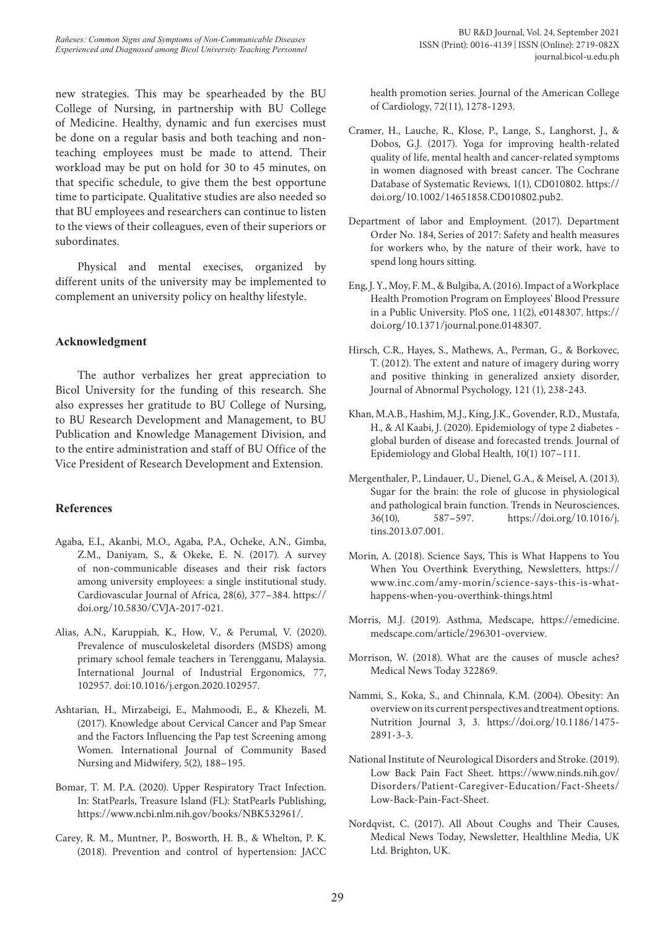new strategies. This may be spearheaded by the BU College of Nursing, in partnership with BU College of Medicine. Healthy, dynamic and fun exercises must be done on a regular basis and both teaching and nonteaching employees must be made to attend. Their workload may be put on hold for 30 to 45 minutes, on that specific schedule, to give them the best opportune time to participate. Qualitative studies are also needed so that BU employees and researchers can continue to listen to the views of their colleagues, even of their superiors or subordinates.

Physical and mental execises, organized by different units of the university may be implemented to complement an university policy on healthy lifestyle.

## **Acknowledgment**

The author verbalizes her great appreciation to Bicol University for the funding of this research. She also expresses her gratitude to BU College of Nursing, to BU Research Development and Management, to BU Publication and Knowledge Management Division, and to the entire administration and staff of BU Office of the Vice President of Research Development and Extension.

#### **References**

- Agaba, E.I., Akanbi, M.O., Agaba, P.A., Ocheke, A.N., Gimba, Z.M., Daniyam, S., & Okeke, E. N. (2017). A survey of non-communicable diseases and their risk factors among university employees: a single institutional study. Cardiovascular Journal of Africa, 28(6), 377–384. https:// doi.org/10.5830/CVJA-2017-021.
- Alias, A.N., Karuppiah, K., How, V., & Perumal, V. (2020). Prevalence of musculoskeletal disorders (MSDS) among primary school female teachers in Terengganu, Malaysia. International Journal of Industrial Ergonomics, 77, 102957. doi:10.1016/j.ergon.2020.102957.
- Ashtarian, H., Mirzabeigi, E., Mahmoodi, E., & Khezeli, M. (2017). Knowledge about Cervical Cancer and Pap Smear and the Factors Influencing the Pap test Screening among Women. International Journal of Community Based Nursing and Midwifery, 5(2), 188–195.
- Bomar, T. M. P.A. (2020). Upper Respiratory Tract Infection. In: StatPearls, Treasure Island (FL): StatPearls Publishing, https://www.ncbi.nlm.nih.gov/books/NBK532961/.
- Carey, R. M., Muntner, P., Bosworth, H. B., & Whelton, P. K. (2018). Prevention and control of hypertension: JACC

health promotion series. Journal of the American College of Cardiology, 72(11), 1278-1293.

- Cramer, H., Lauche, R., Klose, P., Lange, S., Langhorst, J., & Dobos, G.J. (2017). Yoga for improving health-related quality of life, mental health and cancer-related symptoms in women diagnosed with breast cancer. The Cochrane Database of Systematic Reviews, 1(1), CD010802. https:// doi.org/10.1002/14651858.CD010802.pub2.
- Department of labor and Employment. (2017). Department Order No. 184, Series of 2017: Safety and health measures for workers who, by the nature of their work, have to spend long hours sitting.
- Eng, J. Y., Moy, F. M., & Bulgiba, A. (2016). Impact of a Workplace Health Promotion Program on Employees' Blood Pressure in a Public University. PloS one, 11(2), e0148307. https:// doi.org/10.1371/journal.pone.0148307.
- Hirsch, C.R., Hayes, S., Mathews, A., Perman, G., & Borkovec, T. (2012). The extent and nature of imagery during worry and positive thinking in generalized anxiety disorder, Journal of Abnormal Psychology, 121 (1), 238-243.
- Khan, M.A.B., Hashim, M.J., King, J.K., Govender, R.D., Mustafa, H., & Al Kaabi, J. (2020). Epidemiology of type 2 diabetes global burden of disease and forecasted trends. Journal of Epidemiology and Global Health, 10(1) 107–111.
- Mergenthaler, P., Lindauer, U., Dienel, G.A., & Meisel, A. (2013). Sugar for the brain: the role of glucose in physiological and pathological brain function. Trends in Neurosciences, 36(10), 587–597. https://doi.org/10.1016/j. tins.2013.07.001.
- Morin, A. (2018). Science Says, This is What Happens to You When You Overthink Everything, Newsletters, https:// www.inc.com/amy-morin/science-says-this-is-whathappens-when-you-overthink-things.html
- Morris, M.J. (2019). Asthma, Medscape, https://emedicine. medscape.com/article/296301-overview.
- Morrison, W. (2018). What are the causes of muscle aches? Medical News Today 322869.
- Nammi, S., Koka, S., and Chinnala, K.M. (2004). Obesity: An overview on its current perspectives and treatment options. Nutrition Journal 3, 3. https://doi.org/10.1186/1475- 2891-3-3.
- National Institute of Neurological Disorders and Stroke. (2019). Low Back Pain Fact Sheet. https://www.ninds.nih.gov/ Disorders/Patient-Caregiver-Education/Fact-Sheets/ Low-Back-Pain-Fact-Sheet.
- Nordqvist, C. (2017). All About Coughs and Their Causes, Medical News Today, Newsletter, Healthline Media, UK Ltd. Brighton, UK.